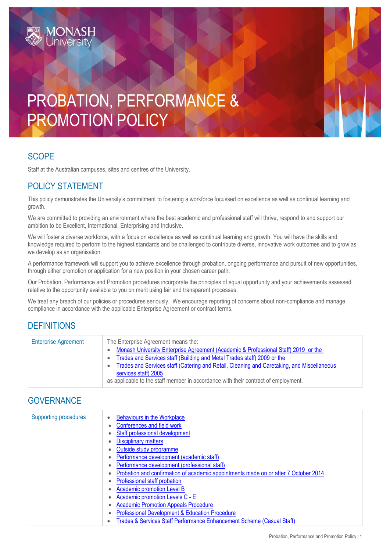# PROBATION, PERFORMANCE & PROMOTION POLICY

#### **SCOPE**

Staff at the Australian campuses, sites and centres of the University.

## POLICY STATEMENT

This policy demonstrates the University's commitment to fostering a workforce focussed on excellence as well as continual learning and growth.

We are committed to providing an environment where the best academic and professional staff will thrive, respond to and support our ambition to be Excellent, International, Enterprising and Inclusive.

We will foster a diverse workforce, with a focus on excellence as well as continual learning and growth. You will have the skills and knowledge required to perform to the highest standards and be challenged to contribute diverse, innovative work outcomes and to grow as we develop as an organisation.

A performance framework will support you to achieve excellence through probation, ongoing performance and pursuit of new opportunities, through either promotion or application for a new position in your chosen career path.

Our Probation, Performance and Promotion procedures incorporate the principles of equal opportunity and your achievements assessed relative to the opportunity available to you on merit using fair and transparent processes.

We treat any breach of our policies or procedures seriously. We encourage reporting of concerns about non-compliance and manage compliance in accordance with the applicable Enterprise Agreement or contract terms.

#### **DEFINITIONS**

| <b>Enterprise Agreement</b> | The Enterprise Agreement means the:                                                        |
|-----------------------------|--------------------------------------------------------------------------------------------|
|                             | Monash University Enterprise Agreement (Academic & Professional Staff) 2019 or the         |
|                             | Trades and Services staff (Building and Metal Trades staff) 2009 or the                    |
|                             | Trades and Services staff (Catering and Retail, Cleaning and Caretaking, and Miscellaneous |
|                             | services staff) 2005                                                                       |
|                             | as applicable to the staff member in accordance with their contract of employment.         |

## **GOVERNANCE**

| <b>Supporting procedures</b> | <b>Behaviours in the Workplace</b><br>Conferences and field work                    |
|------------------------------|-------------------------------------------------------------------------------------|
|                              | Staff professional development                                                      |
|                              | <b>Disciplinary matters</b>                                                         |
|                              | Outside study programme                                                             |
|                              | Performance development (academic staff)                                            |
|                              | Performance development (professional staff)                                        |
|                              | Probation and confirmation of academic appointments made on or after 7 October 2014 |
|                              | Professional staff probation                                                        |
|                              | Academic promotion Level B                                                          |
|                              | Academic promotion Levels C - E                                                     |
|                              | <b>Academic Promotion Appeals Procedure</b>                                         |
|                              | <b>Professional Development &amp; Education Procedure</b>                           |
|                              | Trades & Services Staff Performance Enhancement Scheme (Casual Staff)               |